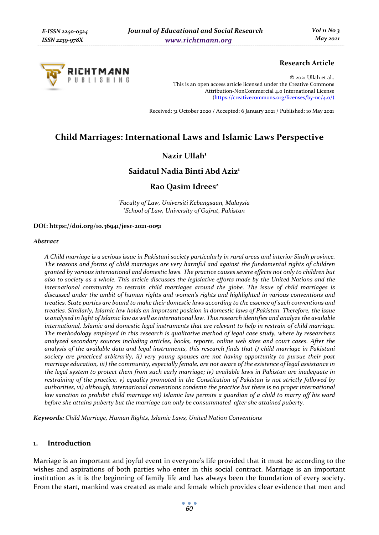

# **Research Article**

© 2021 Ullah et al.. This is an open access article licensed under the Creative Commons Attribution-NonCommercial 4.0 International License (https://creativecommons.org/licenses/by-nc/4.0/)

Received: 31 October 2020 / Accepted: 6 January 2021 / Published: 10 May 2021

# **Child Marriages: International Laws and Islamic Laws Perspective**

# **Nazir Ullah1**

# **Saidatul Nadia Binti Abd Aziz1**

### **Rao Qasim Idrees2**

*1 Faculty of Law, Universiti Kebangsaan, Malaysia 2 School of Law, University of Gujrat, Pakistan* 

#### **DOI: https://doi.org/10.36941/jesr-2021-0051**

#### *Abstract*

*A Child marriage is a serious issue in Pakistani society particularly in rural areas and interior Sindh province. The reasons and forms of child marriages are very harmful and against the fundamental rights of children granted by various international and domestic laws. The practice causes severe effects not only to children but also to society as a whole. This article discusses the legislative efforts made by the United Nations and the international community to restrain child marriages around the globe. The issue of child marriages is discussed under the ambit of human rights and women's rights and highlighted in various conventions and treaties. State parties are bound to make their domestic laws according to the essence of such conventions and treaties. Similarly, Islamic law holds an important position in domestic laws of Pakistan. Therefore, the issue is analysed in light of Islamic law as well as international law. This research identifies and analyze the available international, Islamic and domestic legal instruments that are relevant to help in restrain of child marriage. The methodology employed in this research is qualitative method of legal case study, where by researchers analyzed secondary sources including articles, books, reports, online web sites and court cases. After the analysis of the available data and legal instruments, this research finds that i) child marriage in Pakistani society are practiced arbitrarily, ii) very young spouses are not having opportunity to pursue their post marriage education, iii) the community, especially female, are not aware of the existence of legal assistance in the legal system to protect them from such early marriage; iv) available laws in Pakistan are inadequate in restraining of the practice, v) equality promoted in the Constitution of Pakistan is not strictly followed by authorities, vi) although, international conventions condemn the practice but there is no proper international law sanction to prohibit child marriage vii) Islamic law permits a guardian of a child to marry off his ward before she attains puberty but the marriage can only be consummated after she attained puberty.* 

*Keywords: Child Marriage, Human Rights, Islamic Laws, United Nation Conventions* 

#### **1. Introduction**

Marriage is an important and joyful event in everyone's life provided that it must be according to the wishes and aspirations of both parties who enter in this social contract. Marriage is an important institution as it is the beginning of family life and has always been the foundation of every society. From the start, mankind was created as male and female which provides clear evidence that men and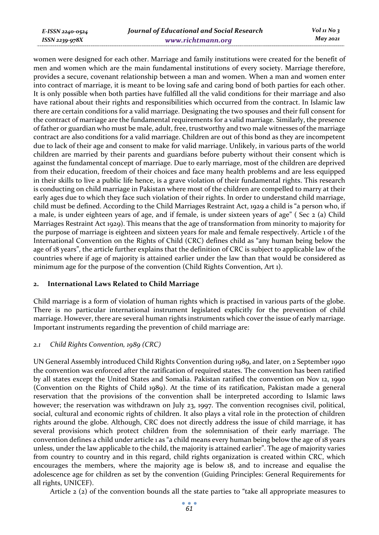*E-ISSN 2240-0524 ISSN 2239-978X*

women were designed for each other. Marriage and family institutions were created for the benefit of men and women which are the main fundamental institutions of every society. Marriage therefore, provides a secure, covenant relationship between a man and women. When a man and women enter into contract of marriage, it is meant to be loving safe and caring bond of both parties for each other. It is only possible when both parties have fulfilled all the valid conditions for their marriage and also have rational about their rights and responsibilities which occurred from the contract. In Islamic law there are certain conditions for a valid marriage. Designating the two spouses and their full consent for the contract of marriage are the fundamental requirements for a valid marriage. Similarly, the presence of father or guardian who must be male, adult, free, trustworthy and two male witnesses of the marriage contract are also conditions for a valid marriage. Children are out of this bond as they are incompetent due to lack of their age and consent to make for valid marriage. Unlikely, in various parts of the world children are married by their parents and guardians before puberty without their consent which is against the fundamental concept of marriage. Due to early marriage, most of the children are deprived from their education, freedom of their choices and face many health problems and are less equipped in their skills to live a public life hence, is a grave violation of their fundamental rights. This research is conducting on child marriage in Pakistan where most of the children are compelled to marry at their early ages due to which they face such violation of their rights. In order to understand child marriage, child must be defined. According to the Child Marriages Restraint Act, 1929 a child is "a person who, if a male, is under eighteen years of age, and if female, is under sixteen years of age" ( Sec 2 (a) Child Marriages Restraint Act 1929). This means that the age of transformation from minority to majority for the purpose of marriage is eighteen and sixteen years for male and female respectively. Article 1 of the International Convention on the Rights of Child (CRC) defines child as "any human being below the age of 18 years", the article further explains that the definition of CRC is subject to applicable law of the countries where if age of majority is attained earlier under the law than that would be considered as minimum age for the purpose of the convention (Child Rights Convention, Art 1).

#### **2. International Laws Related to Child Marriage**

Child marriage is a form of violation of human rights which is practised in various parts of the globe. There is no particular international instrument legislated explicitly for the prevention of child marriage. However, there are several human rights instruments which cover the issue of early marriage. Important instruments regarding the prevention of child marriage are:

### *2.1 Child Rights Convention, 1989 (CRC)*

UN General Assembly introduced Child Rights Convention during 1989, and later, on 2 September 1990 the convention was enforced after the ratification of required states. The convention has been ratified by all states except the United States and Somalia. Pakistan ratified the convention on Nov 12, 1990 (Convention on the Rights of Child 1989). At the time of its ratification, Pakistan made a general reservation that the provisions of the convention shall be interpreted according to Islamic laws however; the reservation was withdrawn on July 23, 1997. The convention recognises civil, political, social, cultural and economic rights of children. It also plays a vital role in the protection of children rights around the globe. Although, CRC does not directly address the issue of child marriage, it has several provisions which protect children from the solemnisation of their early marriage. The convention defines a child under article 1 as "a child means every human being below the age of 18 years unless, under the law applicable to the child, the majority is attained earlier". The age of majority varies from country to country and in this regard, child rights organization is created within CRC, which encourages the members, where the majority age is below 18, and to increase and equalise the adolescence age for children as set by the convention (Guiding Principles: General Requirements for all rights, UNICEF).

Article  $2$  ( $2$ ) of the convention bounds all the state parties to "take all appropriate measures to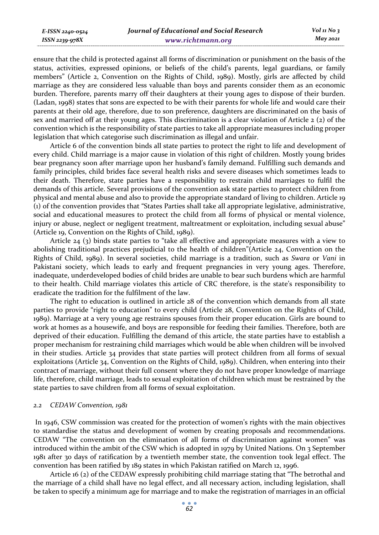ensure that the child is protected against all forms of discrimination or punishment on the basis of the status, activities, expressed opinions, or beliefs of the child's parents, legal guardians, or family members" (Article 2, Convention on the Rights of Child, 1989). Mostly, girls are affected by child marriage as they are considered less valuable than boys and parents consider them as an economic burden. Therefore, parents marry off their daughters at their young ages to dispose of their burden. (Ladan, 1998) states that sons are expected to be with their parents for whole life and would care their parents at their old age, therefore, due to son preference, daughters are discriminated on the basis of sex and married off at their young ages. This discrimination is a clear violation of Article 2 (2) of the convention which is the responsibility of state parties to take all appropriate measures including proper legislation that which categorise such discrimination as illegal and unfair.

Article 6 of the convention binds all state parties to protect the right to life and development of every child. Child marriage is a major cause in violation of this right of children. Mostly young brides bear pregnancy soon after marriage upon her husband's family demand. Fulfilling such demands and family principles, child brides face several health risks and severe diseases which sometimes leads to their death. Therefore, state parties have a responsibility to restrain child marriages to fulfil the demands of this article. Several provisions of the convention ask state parties to protect children from physical and mental abuse and also to provide the appropriate standard of living to children. Article 19 (1) of the convention provides that "States Parties shall take all appropriate legislative, administrative, social and educational measures to protect the child from all forms of physical or mental violence, injury or abuse, neglect or negligent treatment, maltreatment or exploitation, including sexual abuse" (Article 19, Convention on the Rights of Child, 1989).

Article 24 (3) binds state parties to "take all effective and appropriate measures with a view to abolishing traditional practices prejudicial to the health of children"(Article 24, Convention on the Rights of Child, 1989). In several societies, child marriage is a tradition, such as *Swara* or *Vani* in Pakistani society, which leads to early and frequent pregnancies in very young ages. Therefore, inadequate, underdeveloped bodies of child brides are unable to bear such burdens which are harmful to their health. Child marriage violates this article of CRC therefore, is the state's responsibility to eradicate the tradition for the fulfilment of the law.

The right to education is outlined in article 28 of the convention which demands from all state parties to provide "right to education" to every child (Article 28, Convention on the Rights of Child, 1989). Marriage at a very young age restrains spouses from their proper education. Girls are bound to work at homes as a housewife, and boys are responsible for feeding their families. Therefore, both are deprived of their education. Fulfilling the demand of this article, the state parties have to establish a proper mechanism for restraining child marriages which would be able when children will be involved in their studies. Article 34 provides that state parties will protect children from all forms of sexual exploitations (Article 34, Convention on the Rights of Child, 1989). Children, when entering into their contract of marriage, without their full consent where they do not have proper knowledge of marriage life, therefore, child marriage, leads to sexual exploitation of children which must be restrained by the state parties to save children from all forms of sexual exploitation.

#### *2.2 CEDAW Convention, 1981*

*E-ISSN 2240-0524 ISSN 2239-978X*

 In 1946, CSW commission was created for the protection of women's rights with the main objectives to standardise the status and development of women by creating proposals and recommendations. CEDAW "The convention on the elimination of all forms of discrimination against women" was introduced within the ambit of the CSW which is adopted in 1979 by United Nations. On 3 September 1981 after 30 days of ratification by a twentieth member state, the convention took legal effect. The convention has been ratified by 189 states in which Pakistan ratified on March 12, 1996.

Article 16 (2) of the CEDAW expressly prohibiting child marriage stating that "The betrothal and the marriage of a child shall have no legal effect, and all necessary action, including legislation, shall be taken to specify a minimum age for marriage and to make the registration of marriages in an official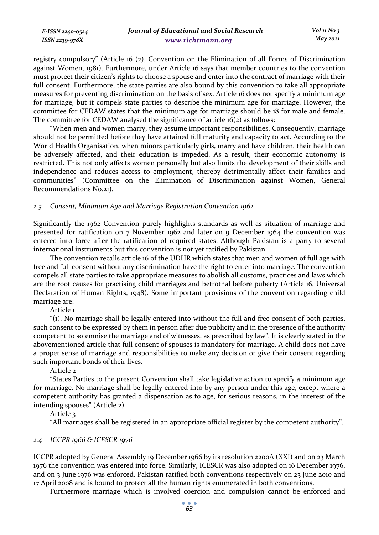registry compulsory" (Article 16 (2), Convention on the Elimination of all Forms of Discrimination against Women, 1981). Furthermore, under Article 16 says that member countries to the convention must protect their citizen's rights to choose a spouse and enter into the contract of marriage with their full consent. Furthermore, the state parties are also bound by this convention to take all appropriate measures for preventing discrimination on the basis of sex. Article 16 does not specify a minimum age for marriage, but it compels state parties to describe the minimum age for marriage. However, the committee for CEDAW states that the minimum age for marriage should be 18 for male and female. The committee for CEDAW analysed the significance of article  $16(z)$  as follows:

"When men and women marry, they assume important responsibilities. Consequently, marriage should not be permitted before they have attained full maturity and capacity to act. According to the World Health Organisation, when minors particularly girls, marry and have children, their health can be adversely affected, and their education is impeded. As a result, their economic autonomy is restricted. This not only affects women personally but also limits the development of their skills and independence and reduces access to employment, thereby detrimentally affect their families and communities" (Committee on the Elimination of Discrimination against Women, General Recommendations No.21).

### *2.3 Consent, Minimum Age and Marriage Registration Convention 1962*

Significantly the 1962 Convention purely highlights standards as well as situation of marriage and presented for ratification on 7 November 1962 and later on 9 December 1964 the convention was entered into force after the ratification of required states. Although Pakistan is a party to several international instruments but this convention is not yet ratified by Pakistan.

The convention recalls article 16 of the UDHR which states that men and women of full age with free and full consent without any discrimination have the right to enter into marriage. The convention compels all state parties to take appropriate measures to abolish all customs, practices and laws which are the root causes for practising child marriages and betrothal before puberty (Article 16, Universal Declaration of Human Rights, 1948). Some important provisions of the convention regarding child marriage are:

Article 1

"(1). No marriage shall be legally entered into without the full and free consent of both parties, such consent to be expressed by them in person after due publicity and in the presence of the authority competent to solemnise the marriage and of witnesses, as prescribed by law". It is clearly stated in the abovementioned article that full consent of spouses is mandatory for marriage. A child does not have a proper sense of marriage and responsibilities to make any decision or give their consent regarding such important bonds of their lives.

Article 2

"States Parties to the present Convention shall take legislative action to specify a minimum age for marriage. No marriage shall be legally entered into by any person under this age, except where a competent authority has granted a dispensation as to age, for serious reasons, in the interest of the intending spouses" (Article 2)

Article 3

"All marriages shall be registered in an appropriate official register by the competent authority".

### *2.4 ICCPR 1966 & ICESCR 1976*

ICCPR adopted by General Assembly 19 December 1966 by its resolution 2200A (XXI) and on 23 March 1976 the convention was entered into force. Similarly, ICESCR was also adopted on 16 December 1976, and on 3 June 1976 was enforced. Pakistan ratified both conventions respectively on 23 June 2010 and 17 April 2008 and is bound to protect all the human rights enumerated in both conventions.

Furthermore marriage which is involved coercion and compulsion cannot be enforced and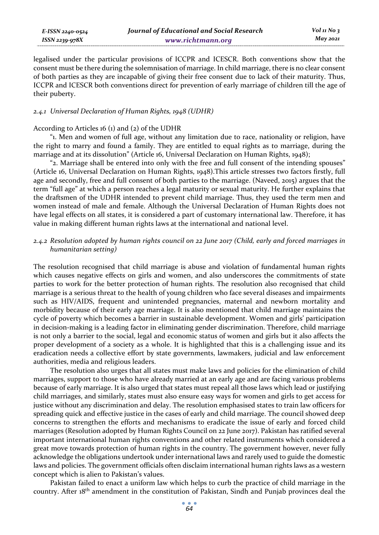| E-ISSN 2240-0524 | Journal of Educational and Social Research | Vol 11 No $\frac{1}{3}$ |
|------------------|--------------------------------------------|-------------------------|
| ISSN 2239-978X   | www.richtmann.org                          | May 2021                |

legalised under the particular provisions of ICCPR and ICESCR. Both conventions show that the consent must be there during the solemnisation of marriage. In child marriage, there is no clear consent of both parties as they are incapable of giving their free consent due to lack of their maturity. Thus, ICCPR and ICESCR both conventions direct for prevention of early marriage of children till the age of their puberty.

### *2.4.1 Universal Declaration of Human Rights, 1948 (UDHR)*

#### According to Articles 16 (1) and (2) of the UDHR

"1. Men and women of full age, without any limitation due to race, nationality or religion, have the right to marry and found a family. They are entitled to equal rights as to marriage, during the marriage and at its dissolution" (Article 16, Universal Declaration on Human Rights, 1948);

"2. Marriage shall be entered into only with the free and full consent of the intending spouses" (Article 16, Universal Declaration on Human Rights, 1948).This article stresses two factors firstly, full age and secondly, free and full consent of both parties to the marriage. (Naveed, 2015) argues that the term "full age" at which a person reaches a legal maturity or sexual maturity. He further explains that the draftsmen of the UDHR intended to prevent child marriage. Thus, they used the term men and women instead of male and female. Although the Universal Declaration of Human Rights does not have legal effects on all states, it is considered a part of customary international law. Therefore, it has value in making different human rights laws at the international and national level.

### *2.4.2 Resolution adopted by human rights council on 22 June 2017 (Child, early and forced marriages in humanitarian setting)*

The resolution recognised that child marriage is abuse and violation of fundamental human rights which causes negative effects on girls and women, and also underscores the commitments of state parties to work for the better protection of human rights. The resolution also recognised that child marriage is a serious threat to the health of young children who face several diseases and impairments such as HIV/AIDS, frequent and unintended pregnancies, maternal and newborn mortality and morbidity because of their early age marriage. It is also mentioned that child marriage maintains the cycle of poverty which becomes a barrier in sustainable development. Women and girls' participation in decision-making is a leading factor in eliminating gender discrimination. Therefore, child marriage is not only a barrier to the social, legal and economic status of women and girls but it also affects the proper development of a society as a whole. It is highlighted that this is a challenging issue and its eradication needs a collective effort by state governments, lawmakers, judicial and law enforcement authorities, media and religious leaders.

The resolution also urges that all states must make laws and policies for the elimination of child marriages, support to those who have already married at an early age and are facing various problems because of early marriage. It is also urged that states must repeal all those laws which lead or justifying child marriages, and similarly, states must also ensure easy ways for women and girls to get access for justice without any discrimination and delay. The resolution emphasised states to train law officers for spreading quick and effective justice in the cases of early and child marriage. The council showed deep concerns to strengthen the efforts and mechanisms to eradicate the issue of early and forced child marriages (Resolution adopted by Human Rights Council on 22 June 2017). Pakistan has ratified several important international human rights conventions and other related instruments which considered a great move towards protection of human rights in the country. The government however, never fully acknowledge the obligations undertook under international laws and rarely used to guide the domestic laws and policies. The government officials often disclaim international human rights laws as a western concept which is alien to Pakistan's values.

Pakistan failed to enact a uniform law which helps to curb the practice of child marriage in the country. After 18th amendment in the constitution of Pakistan, Sindh and Punjab provinces deal the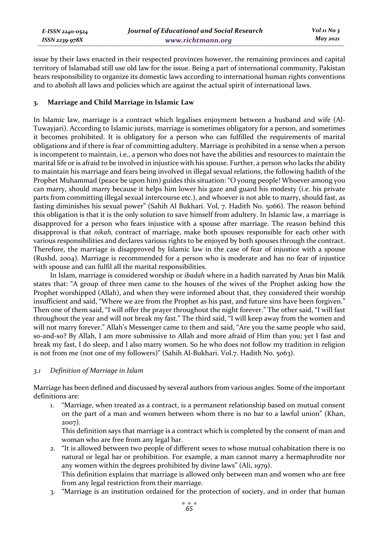issue by their laws enacted in their respected provinces however, the remaining provinces and capital territory of Islamabad still use old law for the issue. Being a part of international community, Pakistan bears responsibility to organize its domestic laws according to international human rights conventions and to abolish all laws and policies which are against the actual spirit of international laws.

### **3. Marriage and Child Marriage in Islamic Law**

In Islamic law, marriage is a contract which legalises enjoyment between a husband and wife (Al-Tuwayjari). According to Islamic jurists, marriage is sometimes obligatory for a person, and sometimes it becomes prohibited. It is obligatory for a person who can fulfilled the requirements of marital obligations and if there is fear of committing adultery. Marriage is prohibited in a sense when a person is incompetent to maintain, i.e., a person who does not have the abilities and resources to maintain the marital life or is afraid to be involved in injustice with his spouse. Further, a person who lacks the ability to maintain his marriage and fears being involved in illegal sexual relations, the following hadith of the Prophet Muhammad (peace be upon him) guides this situation: "O young people! Whoever among you can marry, should marry because it helps him lower his gaze and guard his modesty (i.e. his private parts from committing illegal sexual intercourse etc.), and whoever is not able to marry, should fast, as fasting diminishes his sexual power" (Sahih Al Bukhari. Vol, 7. Hadith No. 5066). The reason behind this obligation is that it is the only solution to save himself from adultery. In Islamic law, a marriage is disapproved for a person who fears injustice with a spouse after marriage. The reason behind this disapproval is that *nikah,* contract of marriage, make both spouses responsible for each other with various responsibilities and declares various rights to be enjoyed by both spouses through the contract. Therefore, the marriage is disapproved by Islamic law in the case of fear of injustice with a spouse (Rushd, 2004). Marriage is recommended for a person who is moderate and has no fear of injustice with spouse and can fulfil all the marital responsibilities.

In Islam, marriage is considered worship or *ibadah* where in a hadith narrated by Anas bin Malik states that: "A group of three men came to the houses of the wives of the Prophet asking how the Prophet worshipped (Allah), and when they were informed about that, they considered their worship insufficient and said, "Where we are from the Prophet as his past, and future sins have been forgiven." Then one of them said, "I will offer the prayer throughout the night forever." The other said, "I will fast throughout the year and will not break my fast." The third said, "I will keep away from the women and will not marry forever." Allah's Messenger came to them and said, "Are you the same people who said, so-and-so? By Allah, I am more submissive to Allah and more afraid of Him than you; yet I fast and break my fast, I do sleep, and I also marry women. So he who does not follow my tradition in religion is not from me (not one of my followers)" (Sahih Al-Bukhari. Vol.7. Hadith No. 5063).

#### *3.1 Definition of Marriage in Islam*

Marriage has been defined and discussed by several authors from various angles. Some of the important definitions are:

1. "Marriage, when treated as a contract, is a permanent relationship based on mutual consent on the part of a man and women between whom there is no bar to a lawful union" (Khan, 2007).

This definition says that marriage is a contract which is completed by the consent of man and woman who are free from any legal bar.

- 2. "It is allowed between two people of different sexes to whose mutual cohabitation there is no natural or legal bar or prohibition. For example, a man cannot marry a hermaphrodite nor any women within the degrees prohibited by divine laws" (Ali, 1979). This definition explains that marriage is allowed only between man and women who are free from any legal restriction from their marriage.
- 3. "Marriage is an institution ordained for the protection of society, and in order that human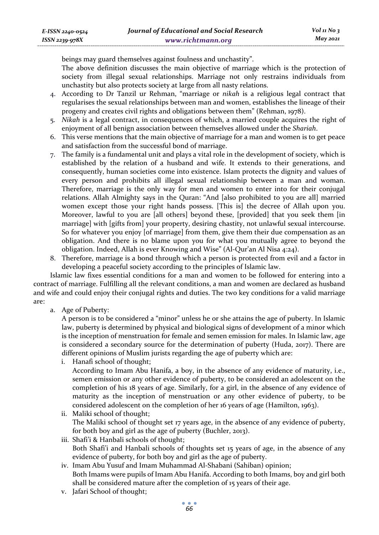beings may guard themselves against foulness and unchastity". The above definition discusses the main objective of marriage which is the protection of society from illegal sexual relationships. Marriage not only restrains individuals from unchastity but also protects society at large from all nasty relations.

- 4. According to Dr Tanzil ur Rehman, "marriage or *nikah* is a religious legal contract that regularises the sexual relationships between man and women, establishes the lineage of their progeny and creates civil rights and obligations between them" (Rehman, 1978).
- 5. *Nikah* is a legal contract, in consequences of which, a married couple acquires the right of enjoyment of all benign association between themselves allowed under the *Shariah*.
- 6. This verse mentions that the main objective of marriage for a man and women is to get peace and satisfaction from the successful bond of marriage.
- 7. The family is a fundamental unit and plays a vital role in the development of society, which is established by the relation of a husband and wife. It extends to their generations, and consequently, human societies come into existence. Islam protects the dignity and values of every person and prohibits all illegal sexual relationship between a man and woman. Therefore, marriage is the only way for men and women to enter into for their conjugal relations. Allah Almighty says in the Quran: "And [also prohibited to you are all] married women except those your right hands possess. [This is] the decree of Allah upon you. Moreover, lawful to you are [all others] beyond these, [provided] that you seek them [in marriage] with [gifts from] your property, desiring chastity, not unlawful sexual intercourse. So for whatever you enjoy [of marriage] from them, give them their due compensation as an obligation. And there is no blame upon you for what you mutually agree to beyond the obligation. Indeed, Allah is ever Knowing and Wise" (Al-Qur'an Al Nisa 4:24).
- 8. Therefore, marriage is a bond through which a person is protected from evil and a factor in developing a peaceful society according to the principles of Islamic law.

Islamic law fixes essential conditions for a man and women to be followed for entering into a contract of marriage. Fulfilling all the relevant conditions, a man and women are declared as husband and wife and could enjoy their conjugal rights and duties. The two key conditions for a valid marriage are:

a. Age of Puberty:

A person is to be considered a "minor" unless he or she attains the age of puberty. In Islamic law, puberty is determined by physical and biological signs of development of a minor which is the inception of menstruation for female and semen emission for males. In Islamic law, age is considered a secondary source for the determination of puberty (Huda, 2017). There are different opinions of Muslim jurists regarding the age of puberty which are:

i. Hanafi school of thought;

According to Imam Abu Hanifa, a boy, in the absence of any evidence of maturity, i.e., semen emission or any other evidence of puberty, to be considered an adolescent on the completion of his 18 years of age. Similarly, for a girl, in the absence of any evidence of maturity as the inception of menstruation or any other evidence of puberty, to be considered adolescent on the completion of her 16 years of age (Hamilton, 1963).

- ii. Maliki school of thought; The Maliki school of thought set 17 years age, in the absence of any evidence of puberty, for both boy and girl as the age of puberty (Buchler, 2013).
- iii. Shafi'i & Hanbali schools of thought; Both Shafi'i and Hanbali schools of thoughts set 15 years of age, in the absence of any evidence of puberty, for both boy and girl as the age of puberty.
- iv. Imam Abu Yusuf and Imam Muhammad Al-Shabani (Sahiban) opinion; Both Imams were pupils of Imam Abu Hanifa. According to both Imams, boy and girl both shall be considered mature after the completion of 15 years of their age.
- v. Jafari School of thought;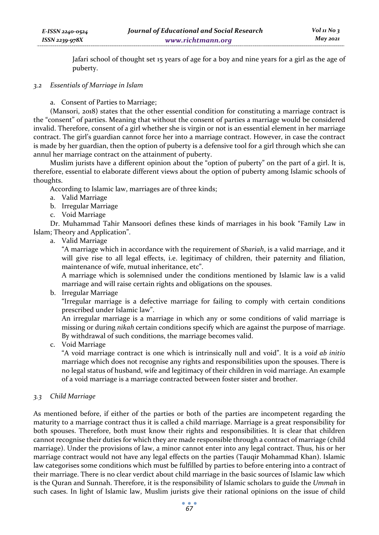Jafari school of thought set 15 years of age for a boy and nine years for a girl as the age of puberty.

#### *3.2 Essentials of Marriage in Islam*

a. Consent of Parties to Marriage;

(Mansori, 2018) states that the other essential condition for constituting a marriage contract is the "consent" of parties. Meaning that without the consent of parties a marriage would be considered invalid. Therefore, consent of a girl whether she is virgin or not is an essential element in her marriage contract. The girl's guardian cannot force her into a marriage contract. However, in case the contract is made by her guardian, then the option of puberty is a defensive tool for a girl through which she can annul her marriage contract on the attainment of puberty.

Muslim jurists have a different opinion about the "option of puberty" on the part of a girl. It is, therefore, essential to elaborate different views about the option of puberty among Islamic schools of thoughts.

According to Islamic law, marriages are of three kinds;

- a. Valid Marriage
- b. Irregular Marriage
- c. Void Marriage

Dr. Muhammad Tahir Mansoori defines these kinds of marriages in his book "Family Law in Islam; Theory and Application".

a. Valid Marriage

"A marriage which in accordance with the requirement of *Shariah*, is a valid marriage, and it will give rise to all legal effects, i.e. legitimacy of children, their paternity and filiation, maintenance of wife, mutual inheritance, etc".

A marriage which is solemnised under the conditions mentioned by Islamic law is a valid marriage and will raise certain rights and obligations on the spouses.

b. Irregular Marriage

"Irregular marriage is a defective marriage for failing to comply with certain conditions prescribed under Islamic law".

An irregular marriage is a marriage in which any or some conditions of valid marriage is missing or during *nikah* certain conditions specify which are against the purpose of marriage. By withdrawal of such conditions, the marriage becomes valid.

c. Void Marriage

"A void marriage contract is one which is intrinsically null and void". It is a *void ab initio* marriage which does not recognise any rights and responsibilities upon the spouses. There is no legal status of husband, wife and legitimacy of their children in void marriage. An example of a void marriage is a marriage contracted between foster sister and brother.

### *3.3 Child Marriage*

As mentioned before, if either of the parties or both of the parties are incompetent regarding the maturity to a marriage contract thus it is called a child marriage. Marriage is a great responsibility for both spouses. Therefore, both must know their rights and responsibilities. It is clear that children cannot recognise their duties for which they are made responsible through a contract of marriage (child marriage). Under the provisions of law, a minor cannot enter into any legal contract. Thus, his or her marriage contract would not have any legal effects on the parties (Tauqir Mohammad Khan). Islamic law categorises some conditions which must be fulfilled by parties to before entering into a contract of their marriage. There is no clear verdict about child marriage in the basic sources of Islamic law which is the Quran and Sunnah. Therefore, it is the responsibility of Islamic scholars to guide the *Ummah* in such cases. In light of Islamic law, Muslim jurists give their rational opinions on the issue of child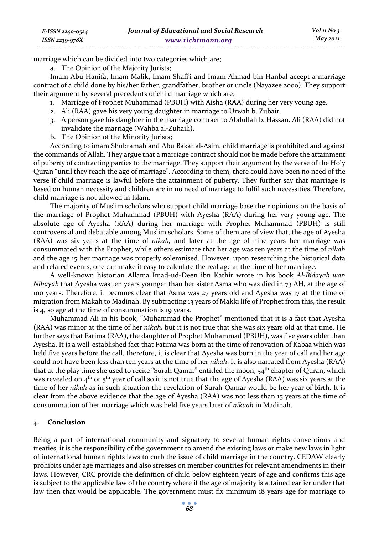marriage which can be divided into two categories which are;

a. The Opinion of the Majority Jurists;

Imam Abu Hanifa, Imam Malik, Imam Shafi'i and Imam Ahmad bin Hanbal accept a marriage contract of a child done by his/her father, grandfather, brother or uncle (Nayazee 2000). They support their argument by several precedents of child marriage which are;

- 1. Marriage of Prophet Muhammad (PBUH) with Aisha (RAA) during her very young age.
- 2. Ali (RAA) gave his very young daughter in marriage to Urwah b. Zubair.
- 3. A person gave his daughter in the marriage contract to Abdullah b. Hassan. Ali (RAA) did not invalidate the marriage (Wahba al-Zuhaili).
- b. The Opinion of the Minority Jurists;

According to imam Shubramah and Abu Bakar al-Asim, child marriage is prohibited and against the commands of Allah. They argue that a marriage contract should not be made before the attainment of puberty of contracting parties to the marriage. They support their argument by the verse of the Holy Quran "until they reach the age of marriage". According to them, there could have been no need of the verse if child marriage is lawful before the attainment of puberty. They further say that marriage is based on human necessity and children are in no need of marriage to fulfil such necessities. Therefore, child marriage is not allowed in Islam.

The majority of Muslim scholars who support child marriage base their opinions on the basis of the marriage of Prophet Muhammad (PBUH) with Ayesha (RAA) during her very young age. The absolute age of Ayesha (RAA) during her marriage with Prophet Muhammad (PBUH) is still controversial and debatable among Muslim scholars. Some of them are of view that, the age of Ayesha (RAA) was six years at the time of *nikah,* and later at the age of nine years her marriage was consummated with the Prophet, while others estimate that her age was ten years at the time of *nikah* and the age 15 her marriage was properly solemnised. However, upon researching the historical data and related events, one can make it easy to calculate the real age at the time of her marriage.

A well-known historian Allama Imad-ud-Deen ibn Kathir wrote in his book *Al-Bidayah wan Nihayah* that Ayesha was ten years younger than her sister Asma who was died in 73 AH, at the age of 100 years. Therefore, it becomes clear that Asma was 27 years old and Ayesha was 17 at the time of migration from Makah to Madinah. By subtracting 13 years of Makki life of Prophet from this, the result is 4, so age at the time of consummation is 19 years.

Muhammad Ali in his book, "Muhammad the Prophet" mentioned that it is a fact that Ayesha (RAA) was minor at the time of her *nikah,* but it is not true that she was six years old at that time. He further says that Fatima (RAA), the daughter of Prophet Muhammad (PBUH), was five years older than Ayesha. It is a well-established fact that Fatima was born at the time of renovation of Kabaa which was held five years before the call, therefore, it is clear that Ayesha was born in the year of call and her age could not have been less than ten years at the time of her *nikah*. It is also narrated from Ayesha (RAA) that at the play time she used to recite "Surah Qamar" entitled the moon,  $54<sup>th</sup>$  chapter of Quran, which was revealed on  $4<sup>th</sup>$  or  $5<sup>th</sup>$  year of call so it is not true that the age of Ayesha (RAA) was six years at the time of her *nikah* as in such situation the revelation of Surah Qamar would be her year of birth. It is clear from the above evidence that the age of Ayesha (RAA) was not less than 15 years at the time of consummation of her marriage which was held five years later of *nikaah* in Madinah.

### **4. Conclusion**

Being a part of international community and signatory to several human rights conventions and treaties, it is the responsibility of the government to amend the existing laws or make new laws in light of international human rights laws to curb the issue of child marriage in the country. CEDAW clearly prohibits under age marriages and also stresses on member countries for relevant amendments in their laws. However, CRC provide the definition of child below eighteen years of age and confirms this age is subject to the applicable law of the country where if the age of majority is attained earlier under that law then that would be applicable. The government must fix minimum 18 years age for marriage to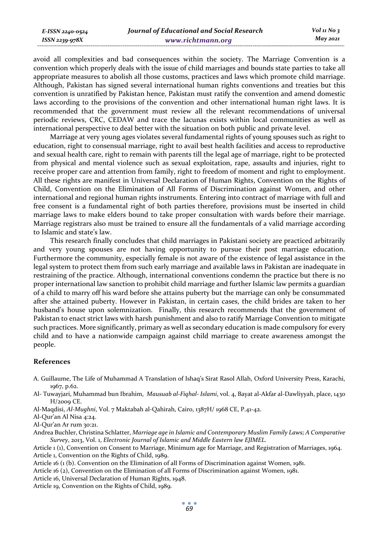avoid all complexities and bad consequences within the society. The Marriage Convention is a convention which properly deals with the issue of child marriages and bounds state parties to take all appropriate measures to abolish all those customs, practices and laws which promote child marriage. Although, Pakistan has signed several international human rights conventions and treaties but this convention is unratified by Pakistan hence, Pakistan must ratify the convention and amend domestic laws according to the provisions of the convention and other international human right laws. It is recommended that the government must review all the relevant recommendations of universal periodic reviews, CRC, CEDAW and trace the lacunas exists within local communities as well as international perspective to deal better with the situation on both public and private level.

Marriage at very young ages violates several fundamental rights of young spouses such as right to education, right to consensual marriage, right to avail best health facilities and access to reproductive and sexual health care, right to remain with parents till the legal age of marriage, right to be protected from physical and mental violence such as sexual exploitation, rape, assaults and injuries, right to receive proper care and attention from family, right to freedom of moment and right to employment. All these rights are manifest in Universal Declaration of Human Rights, Convention on the Rights of Child, Convention on the Elimination of All Forms of Discrimination against Women, and other international and regional human rights instruments. Entering into contract of marriage with full and free consent is a fundamental right of both parties therefore, provisions must be inserted in child marriage laws to make elders bound to take proper consultation with wards before their marriage. Marriage registrars also must be trained to ensure all the fundamentals of a valid marriage according to Islamic and state's law.

This research finally concludes that child marriages in Pakistani society are practiced arbitrarily and very young spouses are not having opportunity to pursue their post marriage education. Furthermore the community, especially female is not aware of the existence of legal assistance in the legal system to protect them from such early marriage and available laws in Pakistan are inadequate in restraining of the practice. Although, international conventions condemn the practice but there is no proper international law sanction to prohibit child marriage and further Islamic law permits a guardian of a child to marry off his ward before she attains puberty but the marriage can only be consummated after she attained puberty. However in Pakistan, in certain cases, the child brides are taken to her husband's house upon solemnization. Finally, this research recommends that the government of Pakistan to enact strict laws with harsh punishment and also to ratify Marriage Convention to mitigate such practices. More significantly, primary as well as secondary education is made compulsory for every child and to have a nationwide campaign against child marriage to create awareness amongst the people.

#### **References**

- A. Guillaume, The Life of Muhammad A Translation of Ishaq's Sirat Rasol Allah, Oxford University Press, Karachi, 1967, p.62.
- Al- Tuwayjari, Muhammad bun Ibrahim, *Mausuab al-Fiqhal- Islami*, vol. 4, Bayat al-Akfar al-Dawliyyah, place, 1430 H/2009 CE.

Al-Maqdisi, *Al-Mughni*, Vol. 7 Maktabah al-Qahirah, Cairo, 1387H/ 1968 CE, P.41-42.

Al-Qur'an Al Nisa 4:24.

Al-Qur'an Ar rum 30:21.

Andrea Buchler, Christina Schlatter, *Marriage age in Islamic and Contemporary Muslim Family Laws; A Comparative Survey*, 2013, Vol. 1, *Electronic Journal of Islamic and Middle Eastern law EJIMEL.* 

Article 1 (1), Convention on Consent to Marriage, Minimum age for Marriage, and Registration of Marriages, 1964. Article 1, Convention on the Rights of Child, 1989.

Article 16 (1 (b). Convention on the Elimination of all Forms of Discrimination against Women, 1981.

Article 16 (2), Convention on the Elimination of all Forms of Discrimination against Women, 1981.

Article 16, Universal Declaration of Human Rights, 1948.

Article 19, Convention on the Rights of Child, 1989.